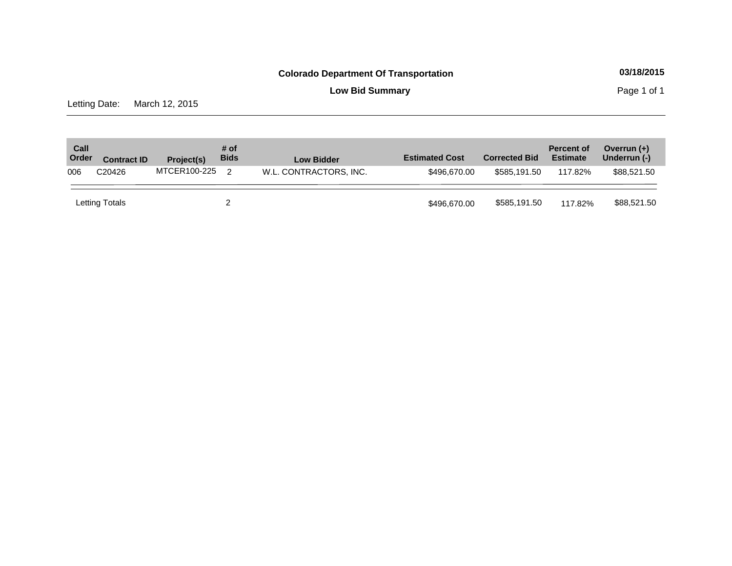**Low Bid Summary Page 1 of 1** 

Letting Date: March 12, 2015

| Call<br>Order | <b>Contract ID</b> | Project(s)   | # of<br><b>Bids</b> | <b>Low Bidder</b>      | <b>Estimated Cost</b> | <b>Corrected Bid</b> | <b>Percent of</b><br><b>Estimate</b> | Overrun $(+)$<br>Underrun (-) |
|---------------|--------------------|--------------|---------------------|------------------------|-----------------------|----------------------|--------------------------------------|-------------------------------|
| 006           | C <sub>20426</sub> | MTCER100-225 | $\mathcal{P}$       | W.L. CONTRACTORS, INC. | \$496,670,00          | \$585.191.50         | 117.82%                              | \$88,521.50                   |
|               | Letting Totals     |              |                     |                        | \$496,670,00          | \$585,191.50         | 117.82%                              | \$88,521.50                   |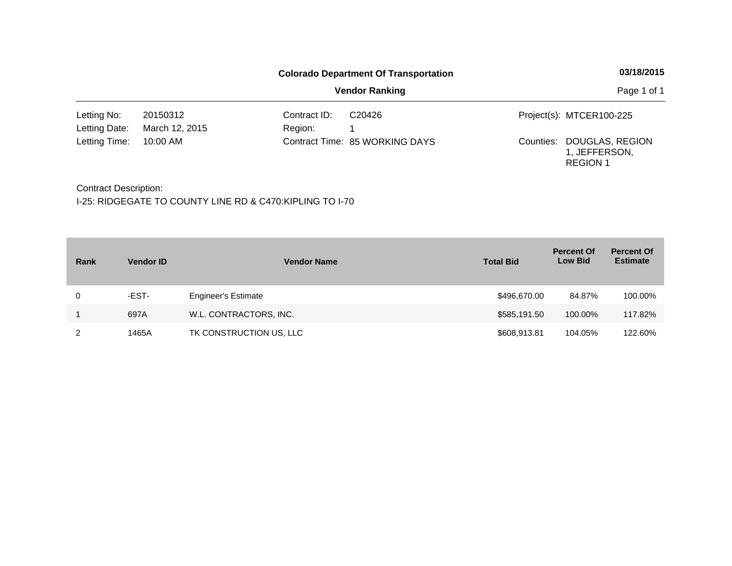|               |                |              | <b>Colorado Department Of Transportation</b> | 03/18/2015 |                                                               |  |
|---------------|----------------|--------------|----------------------------------------------|------------|---------------------------------------------------------------|--|
|               |                | Page 1 of 1  |                                              |            |                                                               |  |
| Letting No:   | 20150312       | Contract ID: | C <sub>20426</sub>                           |            | Project(s): MTCER100-225                                      |  |
| Letting Date: | March 12, 2015 | Region:      |                                              |            |                                                               |  |
| Letting Time: | 10:00 AM       |              | Contract Time: 85 WORKING DAYS               |            | Counties: DOUGLAS, REGION<br>1, JEFFERSON,<br><b>REGION 1</b> |  |

Contract Description:

| Rank | <b>Vendor ID</b> | <b>Vendor Name</b>         | <b>Total Bid</b> | <b>Percent Of</b><br><b>Low Bid</b> | <b>Percent Of</b><br><b>Estimate</b> |
|------|------------------|----------------------------|------------------|-------------------------------------|--------------------------------------|
| 0    | -EST-            | <b>Engineer's Estimate</b> | \$496,670.00     | 84.87%                              | 100.00%                              |
|      | 697A             | W.L. CONTRACTORS, INC.     | \$585,191.50     | 100.00%                             | 117.82%                              |
|      | 1465A            | TK CONSTRUCTION US, LLC    | \$608,913.81     | 104.05%                             | 122.60%                              |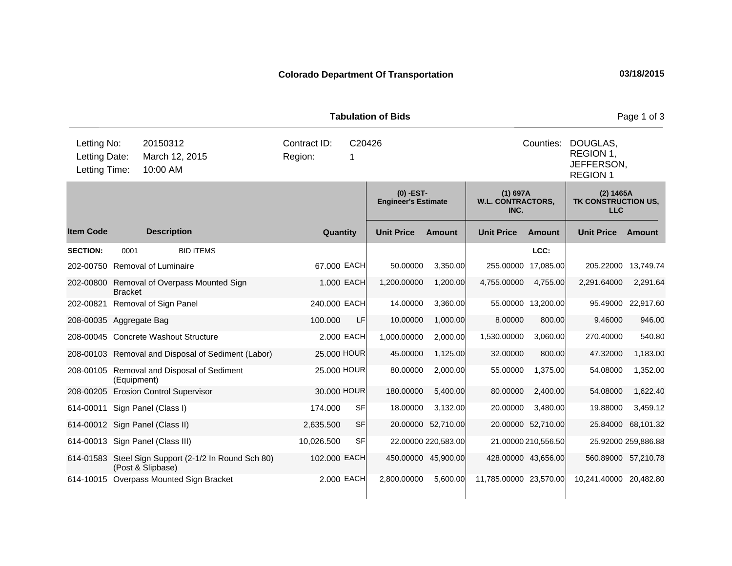|                                               |                |                                                                           |                                        |              |             | <b>Tabulation of Bids</b>                 |                     |                                                |                     |                                                        | Page 1 of 3         |  |
|-----------------------------------------------|----------------|---------------------------------------------------------------------------|----------------------------------------|--------------|-------------|-------------------------------------------|---------------------|------------------------------------------------|---------------------|--------------------------------------------------------|---------------------|--|
| Letting No:<br>Letting Date:<br>Letting Time: |                | 20150312<br>March 12, 2015<br>10:00 AM                                    | Contract ID:<br>C20426<br>Region:<br>1 |              |             |                                           |                     |                                                | Counties:           | DOUGLAS,<br>REGION 1,<br>JEFFERSON,<br><b>REGION 1</b> |                     |  |
|                                               |                |                                                                           |                                        |              |             | $(0)$ -EST-<br><b>Engineer's Estimate</b> |                     | $(1)$ 697A<br><b>W.L. CONTRACTORS,</b><br>INC. |                     | (2) 1465A<br>TK CONSTRUCTION US,<br><b>LLC</b>         |                     |  |
| <b>Item Code</b>                              |                | <b>Description</b>                                                        |                                        |              | Quantity    | <b>Unit Price</b>                         | <b>Amount</b>       | <b>Unit Price</b>                              | Amount              | <b>Unit Price</b>                                      | Amount              |  |
| <b>SECTION:</b>                               | 0001           | <b>BID ITEMS</b>                                                          |                                        |              |             |                                           |                     |                                                | LCC:                |                                                        |                     |  |
|                                               |                | 202-00750 Removal of Luminaire                                            |                                        |              | 67.000 EACH | 50.00000                                  | 3,350.00            |                                                | 255.00000 17,085.00 | 205.22000 13,749.74                                    |                     |  |
| 202-00800                                     | <b>Bracket</b> | Removal of Overpass Mounted Sign                                          |                                        |              | 1.000 EACH  | 1,200.00000                               | 1,200.00            | 4,755.00000                                    | 4,755.00            | 2,291.64000                                            | 2,291.64            |  |
| 202-00821                                     |                | Removal of Sign Panel                                                     |                                        | 240.000 EACH |             | 14.00000                                  | 3,360.00            |                                                | 55.00000 13,200.00  |                                                        | 95.49000 22,917.60  |  |
| 208-00035 Aggregate Bag                       |                |                                                                           |                                        | 100.000      | LF.         | 10.00000                                  | 1,000.00            | 8.00000                                        | 800.00              | 9.46000                                                | 946.00              |  |
|                                               |                | 208-00045 Concrete Washout Structure                                      |                                        |              | 2,000 EACH  | 1,000.00000                               | 2,000.00            | 1,530.00000                                    | 3,060.00            | 270.40000                                              | 540.80              |  |
|                                               |                | 208-00103 Removal and Disposal of Sediment (Labor)                        |                                        |              | 25.000 HOUR | 45.00000                                  | 1,125.00            | 32.00000                                       | 800.00              | 47.32000                                               | 1,183.00            |  |
|                                               | (Equipment)    | 208-00105 Removal and Disposal of Sediment                                |                                        |              | 25.000 HOUR | 80.00000                                  | 2,000.00            | 55.00000                                       | 1,375.00            | 54.08000                                               | 1,352.00            |  |
|                                               |                | 208-00205 Erosion Control Supervisor                                      |                                        |              | 30.000 HOUR | 180.00000                                 | 5,400.00            | 80.00000                                       | 2,400.00            | 54.08000                                               | 1,622.40            |  |
|                                               |                | 614-00011 Sign Panel (Class I)                                            |                                        | 174.000      | SF          | 18.00000                                  | 3,132.00            | 20.00000                                       | 3,480.00            | 19.88000                                               | 3,459.12            |  |
|                                               |                | 614-00012 Sign Panel (Class II)                                           |                                        | 2,635.500    | SF          | 20.00000                                  | 52,710.00           |                                                | 20.00000 52,710.00  |                                                        | 25.84000 68,101.32  |  |
|                                               |                | 614-00013 Sign Panel (Class III)                                          |                                        | 10,026.500   | SF          |                                           | 22.00000 220,583.00 |                                                | 21.00000 210,556.50 |                                                        | 25.92000 259,886.88 |  |
|                                               |                | 614-01583 Steel Sign Support (2-1/2 In Round Sch 80)<br>(Post & Slipbase) |                                        | 102.000 EACH |             |                                           | 450.00000 45,900.00 |                                                | 428.00000 43,656.00 | 560.89000 57,210.78                                    |                     |  |
|                                               |                | 614-10015 Overpass Mounted Sign Bracket                                   |                                        |              | 2.000 EACH  | 2,800.00000                               | 5,600.00            | 11,785.00000 23,570.00                         |                     | 10,241.40000 20,482.80                                 |                     |  |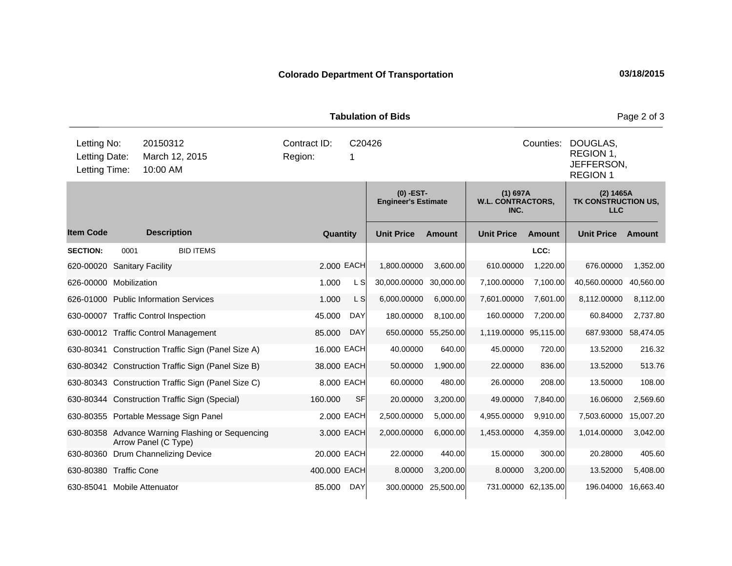|                                               |      |                      |                                                                                   |              |            | <b>Tabulation of Bids</b>                 |               |                                                |                                                        |                                                | Page 2 of 3 |
|-----------------------------------------------|------|----------------------|-----------------------------------------------------------------------------------|--------------|------------|-------------------------------------------|---------------|------------------------------------------------|--------------------------------------------------------|------------------------------------------------|-------------|
| Letting No:<br>Letting Date:<br>Letting Time: |      |                      | 20150312<br>Contract ID:<br>C20426<br>March 12, 2015<br>Region:<br>-1<br>10:00 AM |              |            |                                           |               | Counties:                                      | DOUGLAS,<br>REGION 1,<br>JEFFERSON,<br><b>REGION 1</b> |                                                |             |
|                                               |      |                      |                                                                                   |              |            | $(0)$ -EST-<br><b>Engineer's Estimate</b> |               | $(1)$ 697A<br><b>W.L. CONTRACTORS,</b><br>INC. |                                                        | (2) 1465A<br>TK CONSTRUCTION US,<br><b>LLC</b> |             |
| <b>Item Code</b>                              |      | <b>Description</b>   |                                                                                   | Quantity     |            | <b>Unit Price</b>                         | <b>Amount</b> | <b>Unit Price</b>                              | <b>Amount</b>                                          | <b>Unit Price</b>                              | Amount      |
| <b>SECTION:</b>                               | 0001 |                      | <b>BID ITEMS</b>                                                                  |              |            |                                           |               |                                                | LCC:                                                   |                                                |             |
| 620-00020 Sanitary Facility                   |      |                      |                                                                                   |              | 2.000 EACH | 1,800.00000                               | 3,600.00      | 610.00000                                      | 1,220.00                                               | 676.00000                                      | 1,352.00    |
| 626-00000 Mobilization                        |      |                      |                                                                                   | 1.000        | L S        | 30,000.00000                              | 30,000.00     | 7,100.00000                                    | 7,100.00                                               | 40,560.00000                                   | 40,560.00   |
| 626-01000 Public Information Services         |      |                      |                                                                                   | 1.000        | L S        | 6,000.00000                               | 6,000.00      | 7,601.00000                                    | 7,601.00                                               | 8,112.00000                                    | 8,112.00    |
| 630-00007 Traffic Control Inspection          |      |                      |                                                                                   | 45.000       | <b>DAY</b> | 180.00000                                 | 8,100.00      | 160.00000                                      | 7,200.00                                               | 60.84000                                       | 2,737.80    |
| 630-00012 Traffic Control Management          |      |                      |                                                                                   | 85.000       | <b>DAY</b> | 650.00000                                 | 55,250.00     | 1,119.00000 95,115.00                          |                                                        | 687.93000                                      | 58,474.05   |
|                                               |      |                      | 630-80341 Construction Traffic Sign (Panel Size A)                                | 16.000 EACH  |            | 40.00000                                  | 640.00        | 45.00000                                       | 720.00                                                 | 13.52000                                       | 216.32      |
|                                               |      |                      | 630-80342 Construction Traffic Sign (Panel Size B)                                | 38.000 EACH  |            | 50.00000                                  | 1,900.00      | 22.00000                                       | 836.00                                                 | 13.52000                                       | 513.76      |
|                                               |      |                      | 630-80343 Construction Traffic Sign (Panel Size C)                                |              | 8.000 EACH | 60.00000                                  | 480.00        | 26.00000                                       | 208.00                                                 | 13.50000                                       | 108.00      |
|                                               |      |                      | 630-80344 Construction Traffic Sign (Special)                                     | 160.000      | <b>SF</b>  | 20.00000                                  | 3,200.00      | 49.00000                                       | 7,840.00                                               | 16.06000                                       | 2,569.60    |
|                                               |      |                      | 630-80355 Portable Message Sign Panel                                             |              | 2.000 EACH | 2,500.00000                               | 5,000.00      | 4,955.00000                                    | 9,910.00                                               | 7,503.60000                                    | 15,007.20   |
|                                               |      | Arrow Panel (C Type) | 630-80358 Advance Warning Flashing or Sequencing                                  |              | 3.000 EACH | 2,000.00000                               | 6,000.00      | 1,453.00000                                    | 4,359.00                                               | 1,014.00000                                    | 3,042.00    |
| 630-80360 Drum Channelizing Device            |      |                      |                                                                                   | 20.000 EACH  |            | 22.00000                                  | 440.00        | 15.00000                                       | 300.00                                                 | 20.28000                                       | 405.60      |
| 630-80380 Traffic Cone                        |      |                      |                                                                                   | 400.000 EACH |            | 8.00000                                   | 3,200.00      | 8.00000                                        | 3,200.00                                               | 13.52000                                       | 5,408.00    |
| 630-85041 Mobile Attenuator                   |      |                      |                                                                                   | 85.000       | <b>DAY</b> | 300.00000                                 | 25,500.00     |                                                | 731.00000 62,135.00                                    | 196.04000                                      | 16,663.40   |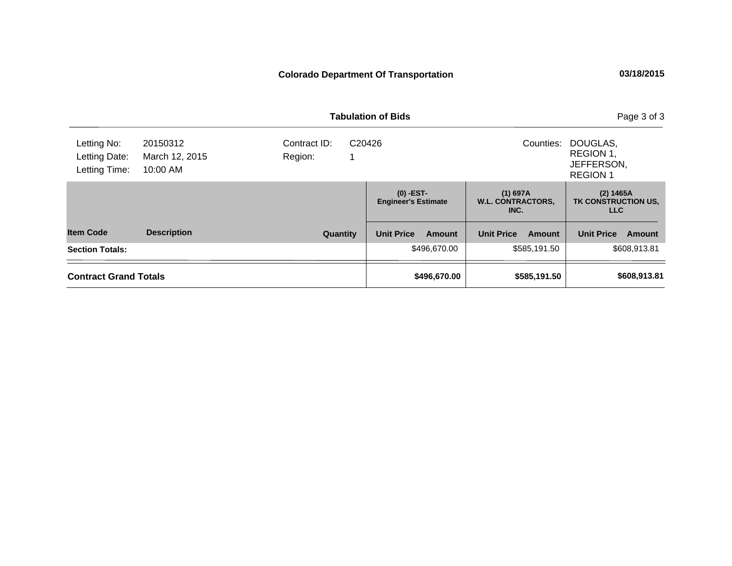|                                               |                                        |                         | <b>Tabulation of Bids</b>                 | Page 3 of 3                                    |                                                        |
|-----------------------------------------------|----------------------------------------|-------------------------|-------------------------------------------|------------------------------------------------|--------------------------------------------------------|
| Letting No:<br>Letting Date:<br>Letting Time: | 20150312<br>March 12, 2015<br>10:00 AM | Contract ID:<br>Region: | C <sub>20426</sub>                        | Counties:                                      | DOUGLAS,<br>REGION 1,<br>JEFFERSON,<br><b>REGION 1</b> |
|                                               |                                        |                         | $(0)$ -EST-<br><b>Engineer's Estimate</b> | $(1)$ 697A<br><b>W.L. CONTRACTORS,</b><br>INC. | (2) 1465A<br>TK CONSTRUCTION US,<br><b>LLC</b>         |
| <b>Item Code</b>                              | <b>Description</b>                     | Quantity                | <b>Unit Price</b><br>Amount               | <b>Unit Price</b><br>Amount                    | <b>Unit Price</b><br>Amount                            |
| <b>Section Totals:</b>                        |                                        |                         | \$496,670.00                              | \$585,191.50                                   | \$608,913.81                                           |
| <b>Contract Grand Totals</b>                  |                                        |                         | \$496,670.00                              | \$585,191.50                                   | \$608,913.81                                           |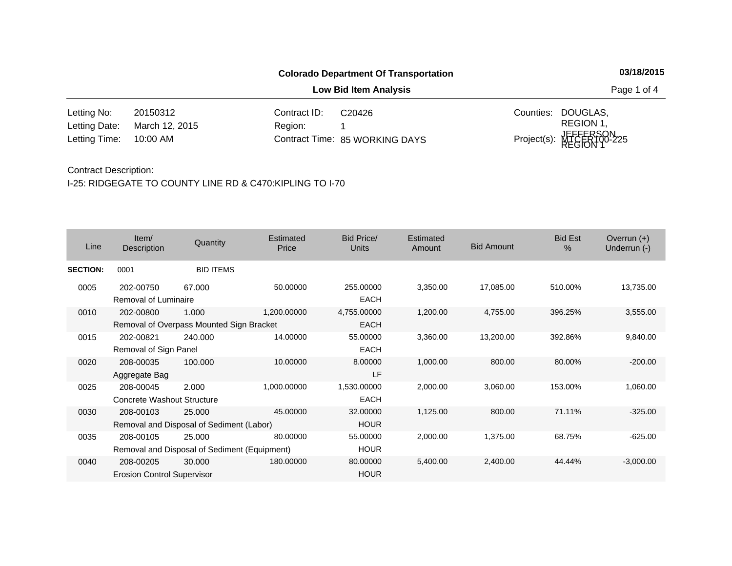**Low Bid Item Analysis Page 1 of 4** 

20150312 Contract ID: 10:00 AM Region: 1 Counties: DOUGLAS, 85 WORKING DAYS Letting Time: Contract Time:March 12, 2015 Project(s): MTCER100-225 REGION 1, JEFFERSON, REGION 1 Letting No: Letting Date: C20426

#### Contract Description:

| Line            | Item/<br><b>Description</b>                    | Quantity                                               | Estimated<br>Price | Bid Price/<br><b>Units</b> | Estimated<br>Amount | <b>Bid Amount</b> | <b>Bid Est</b><br>$\%$ | Overrun $(+)$<br>Underrun (-) |
|-----------------|------------------------------------------------|--------------------------------------------------------|--------------------|----------------------------|---------------------|-------------------|------------------------|-------------------------------|
| <b>SECTION:</b> | 0001                                           | <b>BID ITEMS</b>                                       |                    |                            |                     |                   |                        |                               |
| 0005            | 202-00750<br>Removal of Luminaire              | 67.000                                                 | 50.00000           | 255.00000<br><b>EACH</b>   | 3,350.00            | 17,085.00         | 510.00%                | 13,735.00                     |
| 0010            | 202-00800                                      | 1.000<br>Removal of Overpass Mounted Sign Bracket      | 1,200.00000        | 4,755.00000<br><b>EACH</b> | 1,200.00            | 4,755.00          | 396.25%                | 3,555.00                      |
| 0015            | 202-00821<br>Removal of Sign Panel             | 240,000                                                | 14.00000           | 55.00000<br><b>EACH</b>    | 3,360.00            | 13,200.00         | 392.86%                | 9,840.00                      |
| 0020            | 208-00035<br>Aggregate Bag                     | 100.000                                                | 10.00000           | 8.00000<br>LF              | 1,000.00            | 800.00            | 80.00%                 | $-200.00$                     |
| 0025            | 208-00045<br>Concrete Washout Structure        | 2.000                                                  | 1,000.00000        | 1,530.00000<br><b>EACH</b> | 2,000.00            | 3,060.00          | 153.00%                | 1,060.00                      |
| 0030            | 208-00103                                      | 25.000<br>Removal and Disposal of Sediment (Labor)     | 45.00000           | 32.00000<br><b>HOUR</b>    | 1,125.00            | 800.00            | 71.11%                 | $-325.00$                     |
| 0035            | 208-00105                                      | 25,000<br>Removal and Disposal of Sediment (Equipment) | 80.00000           | 55.00000<br><b>HOUR</b>    | 2,000.00            | 1,375.00          | 68.75%                 | $-625.00$                     |
| 0040            | 208-00205<br><b>Erosion Control Supervisor</b> | 30,000                                                 | 180.00000          | 80.00000<br><b>HOUR</b>    | 5,400.00            | 2,400.00          | 44.44%                 | $-3,000.00$                   |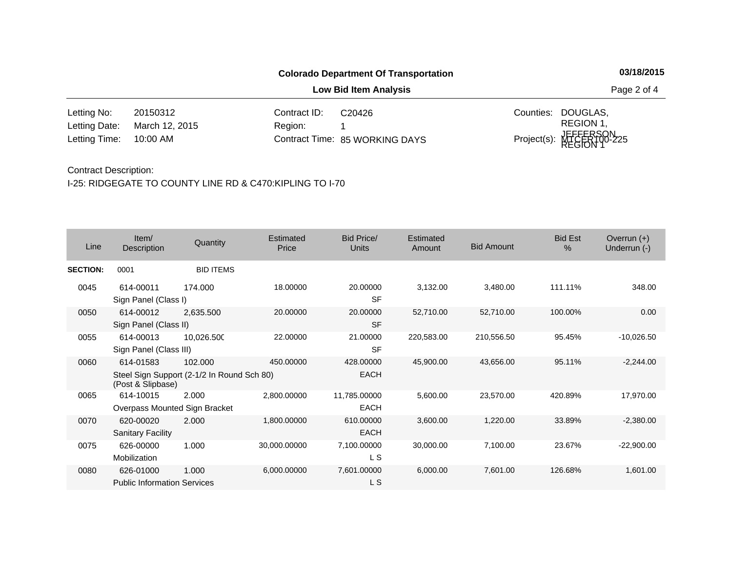**Low Bid Item Analysis Page 2 of 4** 

20150312 Contract ID: 10:00 AM Region: 1 Counties: DOUGLAS, 85 WORKING DAYS Letting Time: Contract Time:March 12, 2015 Project(s): MTCER100-225 REGION 1, JEFFERSON, REGION 1 Letting No: Letting Date: C20426

#### Contract Description:

| Line            | Item/<br><b>Description</b>                     | Quantity                                              | Estimated<br>Price | <b>Bid Price/</b><br><b>Units</b> | <b>Estimated</b><br>Amount | <b>Bid Amount</b> | <b>Bid Est</b><br>% | Overrun $(+)$<br>Underrun (-) |
|-----------------|-------------------------------------------------|-------------------------------------------------------|--------------------|-----------------------------------|----------------------------|-------------------|---------------------|-------------------------------|
| <b>SECTION:</b> | 0001                                            | <b>BID ITEMS</b>                                      |                    |                                   |                            |                   |                     |                               |
| 0045            | 614-00011<br>Sign Panel (Class I)               | 174.000                                               | 18.00000           | 20.00000<br><b>SF</b>             | 3,132.00                   | 3,480.00          | 111.11%             | 348.00                        |
| 0050            | 614-00012<br>Sign Panel (Class II)              | 2,635.500                                             | 20.00000           | 20.00000<br><b>SF</b>             | 52,710.00                  | 52,710.00         | 100.00%             | 0.00                          |
| 0055            | 614-00013<br>Sign Panel (Class III)             | 10,026.500                                            | 22.00000           | 21.00000<br><b>SF</b>             | 220,583.00                 | 210,556.50        | 95.45%              | $-10,026.50$                  |
| 0060            | 614-01583<br>(Post & Slipbase)                  | 102.000<br>Steel Sign Support (2-1/2 In Round Sch 80) | 450.00000          | 428.00000<br><b>EACH</b>          | 45,900.00                  | 43,656.00         | 95.11%              | $-2,244.00$                   |
| 0065            | 614-10015<br>Overpass Mounted Sign Bracket      | 2.000                                                 | 2,800.00000        | 11,785.00000<br><b>EACH</b>       | 5,600.00                   | 23,570.00         | 420.89%             | 17,970.00                     |
| 0070            | 620-00020<br><b>Sanitary Facility</b>           | 2.000                                                 | 1,800.00000        | 610.00000<br><b>EACH</b>          | 3,600.00                   | 1,220.00          | 33.89%              | $-2,380.00$                   |
| 0075            | 626-00000<br>Mobilization                       | 1.000                                                 | 30,000.00000       | 7,100.00000<br>L S                | 30,000.00                  | 7,100.00          | 23.67%              | $-22,900.00$                  |
| 0080            | 626-01000<br><b>Public Information Services</b> | 1.000                                                 | 6,000.00000        | 7,601.00000<br>L S                | 6,000.00                   | 7,601.00          | 126.68%             | 1,601.00                      |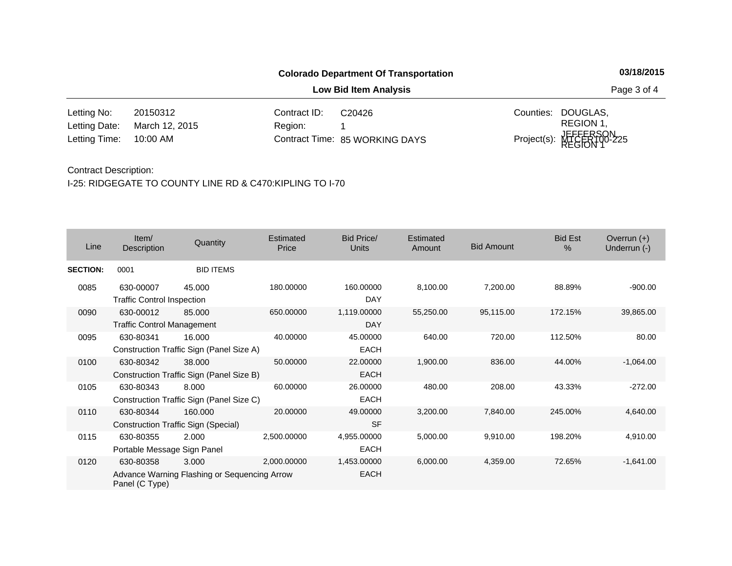**Low Bid Item Analysis Page 3 of 4** 

20150312 Contract ID: 10:00 AM Region: 1 Counties: DOUGLAS, 85 WORKING DAYS Letting Time: Contract Time:March 12, 2015 Project(s): MTCER100-225 REGION 1, JEFFERSON, REGION 1 Letting No: Letting Date: C20426

#### Contract Description:

| Line            | Item/<br><b>Description</b>                    | Quantity                                              | Estimated<br>Price | <b>Bid Price/</b><br><b>Units</b> | Estimated<br>Amount | <b>Bid Amount</b> | <b>Bid Est</b><br>$\%$ | Overrun $(+)$<br>Underrun (-) |
|-----------------|------------------------------------------------|-------------------------------------------------------|--------------------|-----------------------------------|---------------------|-------------------|------------------------|-------------------------------|
| <b>SECTION:</b> | 0001                                           | <b>BID ITEMS</b>                                      |                    |                                   |                     |                   |                        |                               |
| 0085            | 630-00007<br><b>Traffic Control Inspection</b> | 45,000                                                | 180.00000          | 160,00000<br>DAY                  | 8,100.00            | 7,200.00          | 88.89%                 | $-900.00$                     |
| 0090            | 630-00012<br><b>Traffic Control Management</b> | 85.000                                                | 650.00000          | 1,119.00000<br><b>DAY</b>         | 55,250.00           | 95,115.00         | 172.15%                | 39,865.00                     |
| 0095            | 630-80341                                      | 16.000<br>Construction Traffic Sign (Panel Size A)    | 40.00000           | 45.00000<br><b>EACH</b>           | 640.00              | 720.00            | 112.50%                | 80.00                         |
| 0100            | 630-80342                                      | 38,000<br>Construction Traffic Sign (Panel Size B)    | 50.00000           | 22,00000<br><b>EACH</b>           | 1,900.00            | 836.00            | 44.00%                 | $-1,064.00$                   |
| 0105            | 630-80343                                      | 8.000<br>Construction Traffic Sign (Panel Size C)     | 60.00000           | 26.00000<br><b>EACH</b>           | 480.00              | 208.00            | 43.33%                 | $-272.00$                     |
| 0110            | 630-80344                                      | 160.000<br><b>Construction Traffic Sign (Special)</b> | 20,00000           | 49.00000<br><b>SF</b>             | 3,200.00            | 7,840.00          | 245.00%                | 4,640.00                      |
| 0115            | 630-80355<br>Portable Message Sign Panel       | 2.000                                                 | 2,500.00000        | 4,955.00000<br>EACH               | 5,000.00            | 9,910.00          | 198.20%                | 4,910.00                      |
| 0120            | 630-80358<br>Panel (C Type)                    | 3.000<br>Advance Warning Flashing or Sequencing Arrow | 2,000.00000        | 1,453.00000<br><b>EACH</b>        | 6,000.00            | 4,359.00          | 72.65%                 | $-1,641.00$                   |